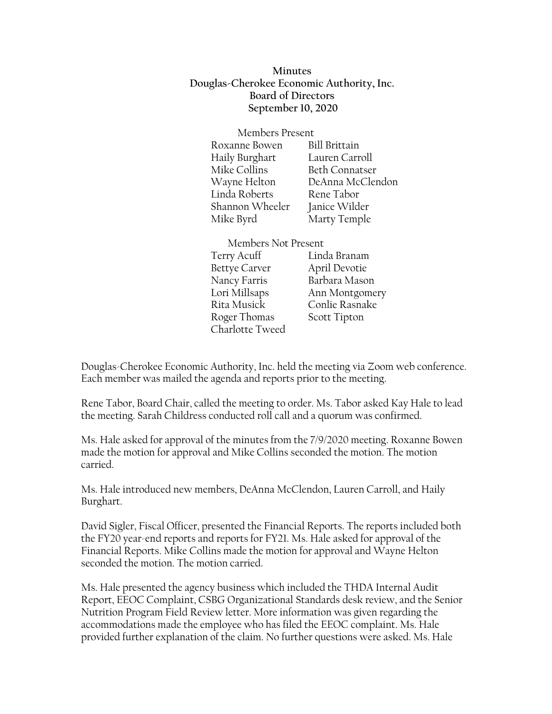**Minutes Douglas-Cherokee Economic Authority, Inc. Board of Directors September 10, 2020**

| Members Present |                       |
|-----------------|-----------------------|
| Roxanne Bowen   | <b>Bill Brittain</b>  |
| Haily Burghart  | Lauren Carroll        |
| Mike Collins    | <b>Beth Connatser</b> |
| Wayne Helton    | DeAnna McClendon      |
| Linda Roberts   | Rene Tabor            |
| Shannon Wheeler | Janice Wilder         |
| Mike Byrd       | Marty Temple          |

Members Not Present

Bettye Carver April Devotie Roger Thomas Scott Tipton Charlotte Tweed

Terry Acuff Linda Branam Nancy Farris Barbara Mason Lori Millsaps Ann Montgomery Rita Musick Conlie Rasnake

Douglas-Cherokee Economic Authority, Inc. held the meeting via Zoom web conference. Each member was mailed the agenda and reports prior to the meeting.

Rene Tabor, Board Chair, called the meeting to order. Ms. Tabor asked Kay Hale to lead the meeting. Sarah Childress conducted roll call and a quorum was confirmed.

Ms. Hale asked for approval of the minutes from the 7/9/2020 meeting. Roxanne Bowen made the motion for approval and Mike Collins seconded the motion. The motion carried.

Ms. Hale introduced new members, DeAnna McClendon, Lauren Carroll, and Haily Burghart.

David Sigler, Fiscal Officer, presented the Financial Reports. The reports included both the FY20 year-end reports and reports for FY21. Ms. Hale asked for approval of the Financial Reports. Mike Collins made the motion for approval and Wayne Helton seconded the motion. The motion carried.

Ms. Hale presented the agency business which included the THDA Internal Audit Report, EEOC Complaint, CSBG Organizational Standards desk review, and the Senior Nutrition Program Field Review letter. More information was given regarding the accommodations made the employee who has filed the EEOC complaint. Ms. Hale provided further explanation of the claim. No further questions were asked. Ms. Hale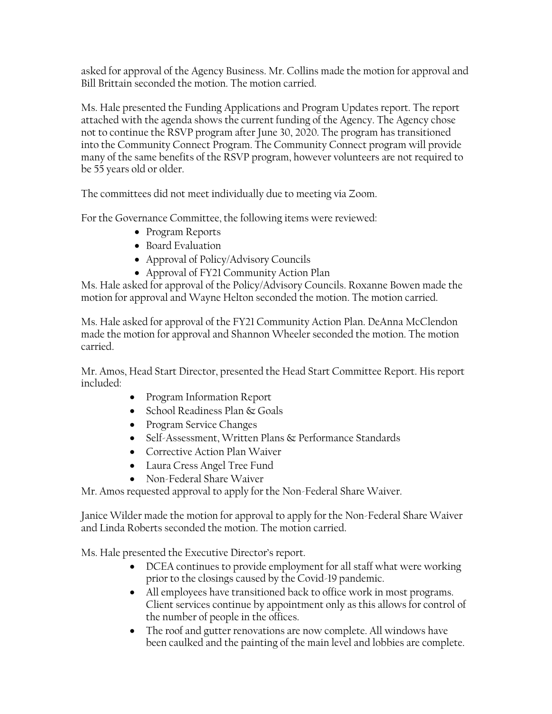asked for approval of the Agency Business. Mr. Collins made the motion for approval and Bill Brittain seconded the motion. The motion carried.

Ms. Hale presented the Funding Applications and Program Updates report. The report attached with the agenda shows the current funding of the Agency. The Agency chose not to continue the RSVP program after June 30, 2020. The program has transitioned into the Community Connect Program. The Community Connect program will provide many of the same benefits of the RSVP program, however volunteers are not required to be 55 years old or older.

The committees did not meet individually due to meeting via Zoom.

For the Governance Committee, the following items were reviewed:

- Program Reports
- Board Evaluation
- Approval of Policy/Advisory Councils
- Approval of FY21 Community Action Plan

Ms. Hale asked for approval of the Policy/Advisory Councils. Roxanne Bowen made the motion for approval and Wayne Helton seconded the motion. The motion carried.

Ms. Hale asked for approval of the FY21 Community Action Plan. DeAnna McClendon made the motion for approval and Shannon Wheeler seconded the motion. The motion carried.

Mr. Amos, Head Start Director, presented the Head Start Committee Report. His report included:

- Program Information Report
- School Readiness Plan & Goals
- Program Service Changes
- Self-Assessment, Written Plans & Performance Standards
- Corrective Action Plan Waiver
- Laura Cress Angel Tree Fund
- Non-Federal Share Waiver

Mr. Amos requested approval to apply for the Non-Federal Share Waiver.

Janice Wilder made the motion for approval to apply for the Non-Federal Share Waiver and Linda Roberts seconded the motion. The motion carried.

Ms. Hale presented the Executive Director's report.

- DCEA continues to provide employment for all staff what were working prior to the closings caused by the Covid-19 pandemic.
- All employees have transitioned back to office work in most programs. Client services continue by appointment only as this allows for control of the number of people in the offices.
- The roof and gutter renovations are now complete. All windows have been caulked and the painting of the main level and lobbies are complete.